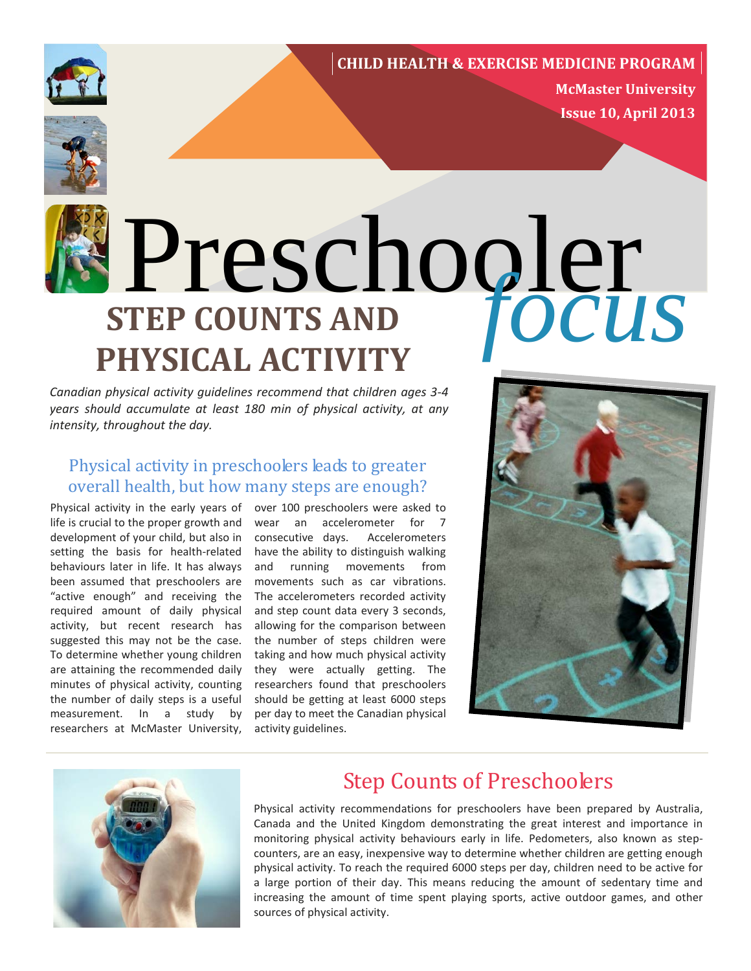## [http://affiliates.allposters.com/link/redirect.asp?item=1643987&AID=1416306748&PSTID=1&LTID=2&lan](http://affiliates.allposters.com/link/redirect.asp?item=1643987&AID=1416306748&PSTID=1<ID=2&lang=1) **CHILD HEALTH & EXERCISE MEDICINE PROGRAM**



**McMaster University Issue 10, April 2013**



# **STEP COUNTS AND PHYSICAL ACTIVITY** Preschooler<br> **FEP COUNTS AND FOCUS**

*Canadian physical activity guidelines recommend that children ages 3-4 years should accumulate at least 180 min of physical activity, at any intensity, throughout the day.* 

# Physical activity in preschoolers leads to greater overall health, but how many steps are enough?

Physical activity in the early years of life is crucial to the proper growth and development of your child, but also in setting the basis for health-related behaviours later in life. It has always been assumed that preschoolers are "active enough" and receiving the required amount of daily physical activity, but recent research has suggested this may not be the case. To determine whether young children are attaining the recommended daily minutes of physical activity, counting the number of daily steps is a useful measurement. In a study by researchers at McMaster University,

over 100 preschoolers were asked to wear an accelerometer for 7 consecutive days. Accelerometers have the ability to distinguish walking and running movements from movements such as car vibrations. The accelerometers recorded activity and step count data every 3 seconds, allowing for the comparison between the number of steps children were taking and how much physical activity they were actually getting. The researchers found that preschoolers should be getting at least 6000 steps per day to meet the Canadian physical activity guidelines.





# Step Counts of Preschoolers

Physical activity recommendations for preschoolers have been prepared by Australia, Canada and the United Kingdom demonstrating the great interest and importance in monitoring physical activity behaviours early in life. Pedometers, also known as stepcounters, are an easy, inexpensive way to determine whether children are getting enough physical activity. To reach the required 6000 steps per day, children need to be active for a large portion of their day. This means reducing the amount of sedentary time and increasing the amount of time spent playing sports, active outdoor games, and other sources of physical activity.